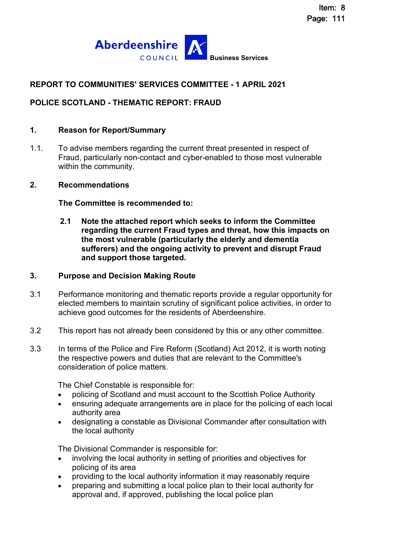

# **REPORT TO COMMUNITIES' SERVICES COMMITTEE - 1 APRIL 2021**

# **POLICE SCOTLAND - THEMATIC REPORT: FRAUD**

#### **1. Reason for Report/Summary**

1.1. To advise members regarding the current threat presented in respect of Fraud, particularly non-contact and cyber-enabled to those most vulnerable within the community.

#### **2. Recommendations**

**The Committee is recommended to:** 

**2.1 Note the attached report which seeks to inform the Committee regarding the current Fraud types and threat, how this impacts on the most vulnerable (particularly the elderly and dementia sufferers) and the ongoing activity to prevent and disrupt Fraud and support those targeted.**

#### **3. Purpose and Decision Making Route**

- 3.1 Performance monitoring and thematic reports provide a regular opportunity for elected members to maintain scrutiny of significant police activities, in order to achieve good outcomes for the residents of Aberdeenshire.
- 3.2 This report has not already been considered by this or any other committee.
- 3.3 In terms of the Police and Fire Reform (Scotland) Act 2012, it is worth noting the respective powers and duties that are relevant to the Committee's consideration of police matters.

The Chief Constable is responsible for:

- policing of Scotland and must account to the Scottish Police Authority
- ensuring adequate arrangements are in place for the policing of each local authority area
- designating a constable as Divisional Commander after consultation with the local authority

The Divisional Commander is responsible for:

- involving the local authority in setting of priorities and objectives for policing of its area
- providing to the local authority information it may reasonably require
- preparing and submitting a local police plan to their local authority for approval and, if approved, publishing the local police plan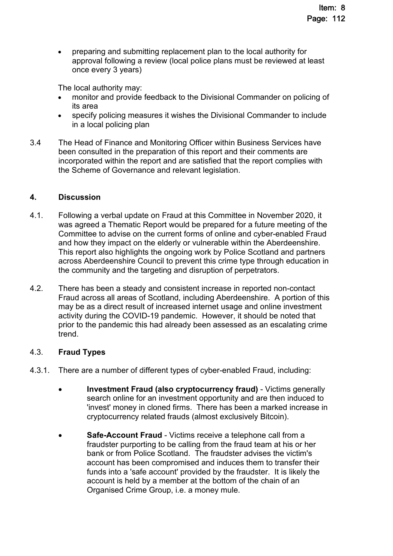preparing and submitting replacement plan to the local authority for approval following a review (local police plans must be reviewed at least once every 3 years)

The local authority may:

- monitor and provide feedback to the Divisional Commander on policing of its area
- specify policing measures it wishes the Divisional Commander to include in a local policing plan
- 3.4 The Head of Finance and Monitoring Officer within Business Services have been consulted in the preparation of this report and their comments are incorporated within the report and are satisfied that the report complies with the Scheme of Governance and relevant legislation.

#### **4. Discussion**

- 4.1. Following a verbal update on Fraud at this Committee in November 2020, it was agreed a Thematic Report would be prepared for a future meeting of the Committee to advise on the current forms of online and cyber-enabled Fraud and how they impact on the elderly or vulnerable within the Aberdeenshire. This report also highlights the ongoing work by Police Scotland and partners across Aberdeenshire Council to prevent this crime type through education in the community and the targeting and disruption of perpetrators.
- 4.2. There has been a steady and consistent increase in reported non-contact Fraud across all areas of Scotland, including Aberdeenshire. A portion of this may be as a direct result of increased internet usage and online investment activity during the COVID-19 pandemic. However, it should be noted that prior to the pandemic this had already been assessed as an escalating crime trend.

# 4.3. **Fraud Types**

- 4.3.1. There are a number of different types of cyber-enabled Fraud, including:
	- **Investment Fraud (also cryptocurrency fraud)** Victims generally search online for an investment opportunity and are then induced to 'invest' money in cloned firms. There has been a marked increase in cryptocurrency related frauds (almost exclusively Bitcoin).
	- **Safe-Account Fraud** Victims receive a telephone call from a fraudster purporting to be calling from the fraud team at his or her bank or from Police Scotland. The fraudster advises the victim's account has been compromised and induces them to transfer their funds into a 'safe account' provided by the fraudster. It is likely the account is held by a member at the bottom of the chain of an Organised Crime Group, i.e. a money mule.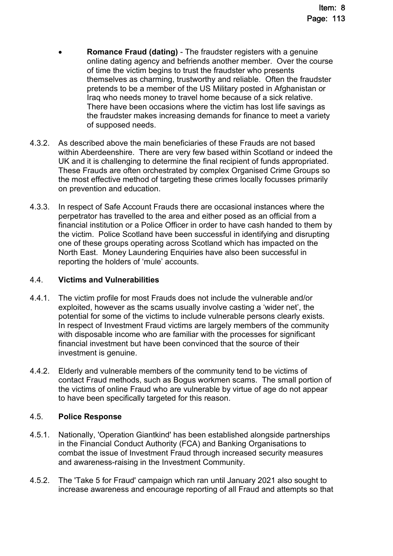- **Romance Fraud (dating)** The fraudster registers with a genuine online dating agency and befriends another member. Over the course of time the victim begins to trust the fraudster who presents themselves as charming, trustworthy and reliable. Often the fraudster pretends to be a member of the US Military posted in Afghanistan or Iraq who needs money to travel home because of a sick relative. There have been occasions where the victim has lost life savings as the fraudster makes increasing demands for finance to meet a variety of supposed needs.
- 4.3.2. As described above the main beneficiaries of these Frauds are not based within Aberdeenshire. There are very few based within Scotland or indeed the UK and it is challenging to determine the final recipient of funds appropriated. These Frauds are often orchestrated by complex Organised Crime Groups so the most effective method of targeting these crimes locally focusses primarily on prevention and education.
- 4.3.3. In respect of Safe Account Frauds there are occasional instances where the perpetrator has travelled to the area and either posed as an official from a financial institution or a Police Officer in order to have cash handed to them by the victim. Police Scotland have been successful in identifying and disrupting one of these groups operating across Scotland which has impacted on the North East. Money Laundering Enquiries have also been successful in reporting the holders of 'mule' accounts.

# 4.4. **Victims and Vulnerabilities**

- 4.4.1. The victim profile for most Frauds does not include the vulnerable and/or exploited, however as the scams usually involve casting a 'wider net', the potential for some of the victims to include vulnerable persons clearly exists. In respect of Investment Fraud victims are largely members of the community with disposable income who are familiar with the processes for significant financial investment but have been convinced that the source of their investment is genuine.
- 4.4.2. Elderly and vulnerable members of the community tend to be victims of contact Fraud methods, such as Bogus workmen scams. The small portion of the victims of online Fraud who are vulnerable by virtue of age do not appear to have been specifically targeted for this reason.

# 4.5. **Police Response**

- 4.5.1. Nationally, 'Operation Giantkind' has been established alongside partnerships in the Financial Conduct Authority (FCA) and Banking Organisations to combat the issue of Investment Fraud through increased security measures and awareness-raising in the Investment Community.
- 4.5.2. The 'Take 5 for Fraud' campaign which ran until January 2021 also sought to increase awareness and encourage reporting of all Fraud and attempts so that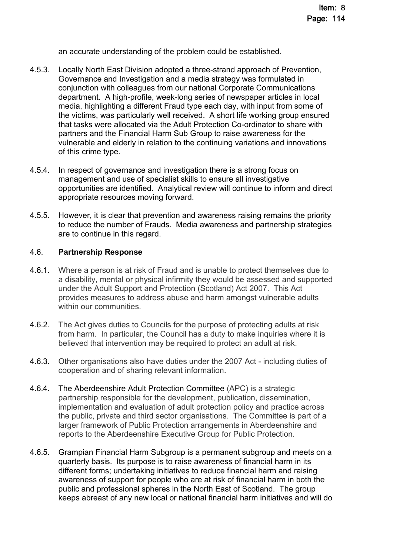an accurate understanding of the problem could be established.

- 4.5.3. Locally North East Division adopted a three-strand approach of Prevention, Governance and Investigation and a media strategy was formulated in conjunction with colleagues from our national Corporate Communications department. A high-profile, week-long series of newspaper articles in local media, highlighting a different Fraud type each day, with input from some of the victims, was particularly well received. A short life working group ensured that tasks were allocated via the Adult Protection Co-ordinator to share with partners and the Financial Harm Sub Group to raise awareness for the vulnerable and elderly in relation to the continuing variations and innovations of this crime type.
- 4.5.4. In respect of governance and investigation there is a strong focus on management and use of specialist skills to ensure all investigative opportunities are identified. Analytical review will continue to inform and direct appropriate resources moving forward.
- 4.5.5. However, it is clear that prevention and awareness raising remains the priority to reduce the number of Frauds. Media awareness and partnership strategies are to continue in this regard.

#### 4.6. **Partnership Response**

- 4.6.1. Where a person is at risk of Fraud and is unable to protect themselves due to a disability, mental or physical infirmity they would be assessed and supported under the Adult Support and Protection (Scotland) Act 2007. This Act provides measures to address abuse and harm amongst vulnerable adults within our communities.
- 4.6.2. The Act gives duties to Councils for the purpose of protecting adults at risk from harm. In particular, the Council has a duty to make inquiries where it is believed that intervention may be required to protect an adult at risk.
- 4.6.3. Other organisations also have duties under the 2007 Act including duties of cooperation and of sharing relevant information.
- 4.6.4. The [Aberdeenshire Adult Protection Committee](https://www.aberdeenshire.gov.uk/social-care-and-health/community-care/community-care-policies-and-strategies/aberdeenshire-adult-protection-committee/) (APC) is a strategic partnership responsible for the development, publication, dissemination, implementation and evaluation of adult protection policy and practice across the public, private and third sector organisations. The Committee is part of a larger framework of Public Protection arrangements in Aberdeenshire and reports to the Aberdeenshire Executive Group for Public Protection.
- 4.6.5. Grampian Financial Harm Subgroup is a permanent subgroup and meets on a quarterly basis. Its purpose is to raise awareness of financial harm in its different forms; undertaking initiatives to reduce financial harm and raising awareness of support for people who are at risk of financial harm in both the public and professional spheres in the North East of Scotland. The group keeps abreast of any new local or national financial harm initiatives and will do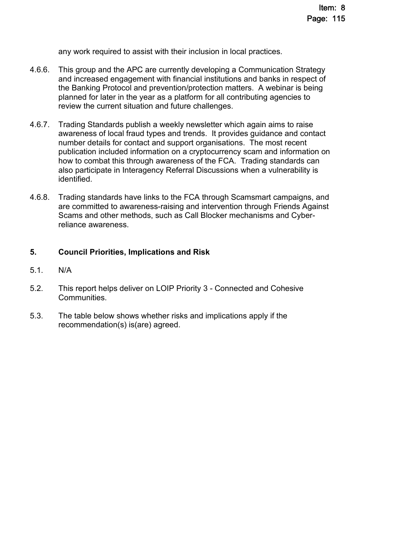any work required to assist with their inclusion in local practices.

- 4.6.6. This group and the APC are currently developing a Communication Strategy and increased engagement with financial institutions and banks in respect of the Banking Protocol and prevention/protection matters. A webinar is being planned for later in the year as a platform for all contributing agencies to review the current situation and future challenges.
- 4.6.7. Trading Standards publish a weekly newsletter which again aims to raise awareness of local fraud types and trends. It provides guidance and contact number details for contact and support organisations. The most recent publication included information on a cryptocurrency scam and information on how to combat this through awareness of the FCA. Trading standards can also participate in Interagency Referral Discussions when a vulnerability is identified.
- 4.6.8. Trading standards have links to the FCA through Scamsmart campaigns, and are committed to awareness-raising and intervention through Friends Against Scams and other methods, such as Call Blocker mechanisms and Cyberreliance awareness.

# **5. Council Priorities, Implications and Risk**

- 5.1. N/A
- 5.2. This report helps deliver on LOIP Priority 3 Connected and Cohesive Communities.
- 5.3. The table below shows whether risks and implications apply if the recommendation(s) is(are) agreed.